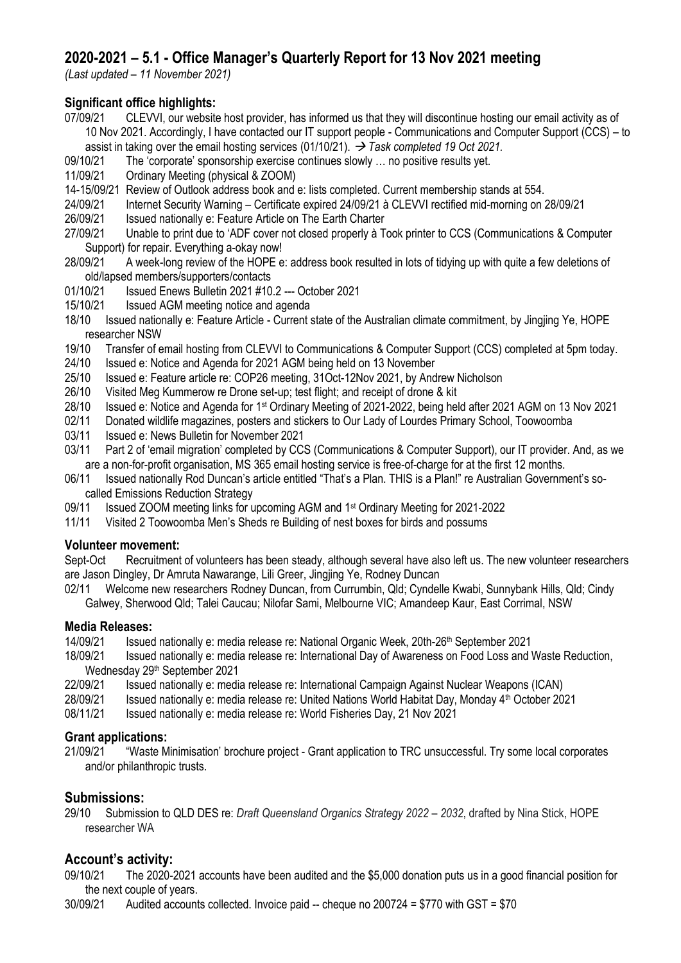# **2020-2021 – 5.1 - Office Manager's Quarterly Report for 13 Nov 2021 meeting**

*(Last updated – 11 November 2021)*

# **Significant office highlights:**<br>07/09/21 CLEVVI. our website

- 07/09/21 CLEVVI, our website host provider, has informed us that they will discontinue hosting our email activity as of 10 Nov 2021. Accordingly, I have contacted our IT support people - Communications and Computer Support (CCS) – to assist in taking over the email hosting services (01/10/21). → *Task completed 19 Oct 2021.*
- 09/10/21 The 'corporate' sponsorship exercise continues slowly … no positive results yet.
- 11/09/21 Ordinary Meeting (physical & ZOOM)
- 14-15/09/21 Review of Outlook address book and e: lists completed. Current membership stands at 554.
- 24/09/21 Internet Security Warning Certificate expired 24/09/21 à CLEVVI rectified mid-morning on 28/09/21
- 26/09/21 Issued nationally e: Feature Article on The Earth Charter<br>27/09/21 Unable to print due to 'ADF cover not closed properly à T
- 27/09/21 Unable to print due to 'ADF cover not closed properly à Took printer to CCS (Communications & Computer Support) for repair. Everything a-okay now!
- 28/09/21 A week-long review of the HOPE e: address book resulted in lots of tidying up with quite a few deletions of old/lapsed members/supporters/contacts
- 01/10/21 Issued Enews Bulletin 2021 #10.2 --- October 2021
- 15/10/21 Issued AGM meeting notice and agenda
- 18/10 Issued nationally e: Feature Article Current state of the Australian climate commitment, by Jingjing Ye, HOPE researcher NSW
- 19/10 Transfer of email hosting from CLEVVI to Communications & Computer Support (CCS) completed at 5pm today.
- 24/10 Issued e: Notice and Agenda for 2021 AGM being held on 13 November
- 25/10 Issued e: Feature article re: COP26 meeting, 31Oct-12Nov 2021, by Andrew Nicholson
- 26/10 Visited Meg Kummerow re Drone set-up; test flight; and receipt of drone & kit<br>28/10 Issued e: Notice and Agenda for 1<sup>st</sup> Ordinary Meeting of 2021-2022. being hel
- Issued e: Notice and Agenda for 1st Ordinary Meeting of 2021-2022, being held after 2021 AGM on 13 Nov 2021
- 02/11 Donated wildlife magazines, posters and stickers to Our Lady of Lourdes Primary School, Toowoomba
- 03/11 Issued e: News Bulletin for November 2021
- 03/11 Part 2 of 'email migration' completed by CCS (Communications & Computer Support), our IT provider. And, as we are a non-for-profit organisation, MS 365 email hosting service is free-of-charge for at the first 12 months.
- 06/11 Issued nationally Rod Duncan's article entitled "That's a Plan. THIS is a Plan!" re Australian Government's socalled Emissions Reduction Strategy
- 09/11 Issued ZOOM meeting links for upcoming AGM and 1st Ordinary Meeting for 2021-2022
- 11/11 Visited 2 Toowoomba Men's Sheds re Building of nest boxes for birds and possums

#### **Volunteer movement:**

Sept-Oct Recruitment of volunteers has been steady, although several have also left us. The new volunteer researchers are Jason Dingley, Dr Amruta Nawarange, Lili Greer, Jingjing Ye, Rodney Duncan

02/11 Welcome new researchers Rodney Duncan, from Currumbin, Qld; Cyndelle Kwabi, Sunnybank Hills, Qld; Cindy Galwey, Sherwood Qld; Talei Caucau; Nilofar Sami, Melbourne VIC; Amandeep Kaur, East Corrimal, NSW

#### **Media Releases:**

- 14/09/21 Issued nationally e: media release re: National Organic Week, 20th-26th September 2021
- 18/09/21 Issued nationally e: media release re: International Day of Awareness on Food Loss and Waste Reduction, Wednesday 29th September 2021
- 22/09/21 Issued nationally e: media release re: International Campaign Against Nuclear Weapons (ICAN)
- 28/09/21 Issued nationally e: media release re: United Nations World Habitat Day, Monday 4th October 2021
- 08/11/21 Issued nationally e: media release re: World Fisheries Day, 21 Nov 2021

#### **Grant applications:**

21/09/21 "Waste Minimisation' brochure project - Grant application to TRC unsuccessful. Try some local corporates and/or philanthropic trusts.

# **Submissions:**

29/10 Submission to QLD DES re: *Draft Queensland Organics Strategy 2022 – 2032*, drafted by Nina Stick, HOPE researcher WA

# **Account's activity:**

09/10/21 The 2020-2021 accounts have been audited and the \$5,000 donation puts us in a good financial position for the next couple of years.

30/09/21 Audited accounts collected. Invoice paid -- cheque no 200724 = \$770 with GST = \$70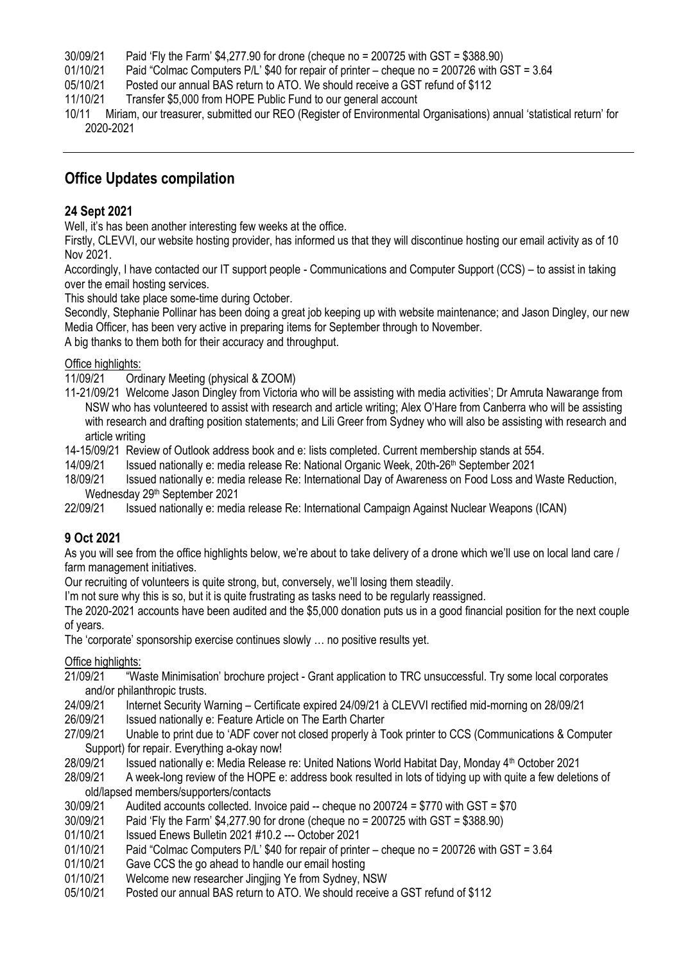- 30/09/21 Paid 'Fly the Farm' \$4,277.90 for drone (cheque no = 200725 with GST = \$388.90)
- 01/10/21 Paid "Colmac Computers P/L' \$40 for repair of printer cheque no = 200726 with GST = 3.64
- 05/10/21 Posted our annual BAS return to ATO. We should receive a GST refund of \$112
- 11/10/21 Transfer \$5,000 from HOPE Public Fund to our general account
- 10/11 Miriam, our treasurer, submitted our REO (Register of Environmental Organisations) annual 'statistical return' for 2020-2021

# **Office Updates compilation**

#### **24 Sept 2021**

Well, it's has been another interesting few weeks at the office.

Firstly, CLEVVI, our website hosting provider, has informed us that they will discontinue hosting our email activity as of 10 Nov 2021.

Accordingly, I have contacted our IT support people - Communications and Computer Support (CCS) – to assist in taking over the email hosting services.

This should take place some-time during October.

Secondly, Stephanie Pollinar has been doing a great job keeping up with website maintenance; and Jason Dingley, our new Media Officer, has been very active in preparing items for September through to November.

A big thanks to them both for their accuracy and throughput.

#### Office highlights:

11/09/21 Ordinary Meeting (physical & ZOOM)

11-21/09/21 Welcome Jason Dingley from Victoria who will be assisting with media activities'; Dr Amruta Nawarange from NSW who has volunteered to assist with research and article writing; Alex O'Hare from Canberra who will be assisting with research and drafting position statements; and Lili Greer from Sydney who will also be assisting with research and article writing

14-15/09/21 Review of Outlook address book and e: lists completed. Current membership stands at 554.

14/09/21 Issued nationally e: media release Re: National Organic Week, 20th-26th September 2021

- 18/09/21 Issued nationally e: media release Re: International Day of Awareness on Food Loss and Waste Reduction, Wednesday 29th September 2021
- 22/09/21 Issued nationally e: media release Re: International Campaign Against Nuclear Weapons (ICAN)

#### **9 Oct 2021**

As you will see from the office highlights below, we're about to take delivery of a drone which we'll use on local land care / farm management initiatives.

Our recruiting of volunteers is quite strong, but, conversely, we'll losing them steadily.

I'm not sure why this is so, but it is quite frustrating as tasks need to be regularly reassigned.

The 2020-2021 accounts have been audited and the \$5,000 donation puts us in a good financial position for the next couple of years.

The 'corporate' sponsorship exercise continues slowly … no positive results yet.

#### Office highlights:

- 21/09/21 "Waste Minimisation' brochure project Grant application to TRC unsuccessful. Try some local corporates and/or philanthropic trusts.<br>24/09/21 Internet Security V
- 24/09/21 Internet Security Warning Certificate expired 24/09/21 à CLEVVI rectified mid-morning on 28/09/21
- 26/09/21 Issued nationally e: Feature Article on The Earth Charter<br>27/09/21 Unable to print due to 'ADF cover not closed properly à Te

27/09/21 Unable to print due to 'ADF cover not closed properly à Took printer to CCS (Communications & Computer Support) for repair. Everything a-okay now!

28/09/21 Issued nationally e: Media Release re: United Nations World Habitat Day, Monday 4th October 2021

28/09/21 A week-long review of the HOPE e: address book resulted in lots of tidying up with quite a few deletions of old/lapsed members/supporters/contacts

- $30/09/21$  Audited accounts collected. Invoice paid -- cheque no  $200724 = $770$  with GST = \$70<br> $30/09/21$  Paid 'Fly the Farm' \$4.277.90 for drone (cheque no =  $200725$  with GST = \$388.90)
- Paid 'Fly the Farm' \$4,277.90 for drone (cheque no = 200725 with GST = \$388.90)
- 01/10/21 Issued Enews Bulletin 2021 #10.2 --- October 2021
- 01/10/21 Paid "Colmac Computers P/L' \$40 for repair of printer cheque no = 200726 with GST = 3.64
- 01/10/21 Gave CCS the go ahead to handle our email hosting
- 01/10/21 Welcome new researcher Jingjing Ye from Sydney, NSW
- 05/10/21 Posted our annual BAS return to ATO. We should receive a GST refund of \$112